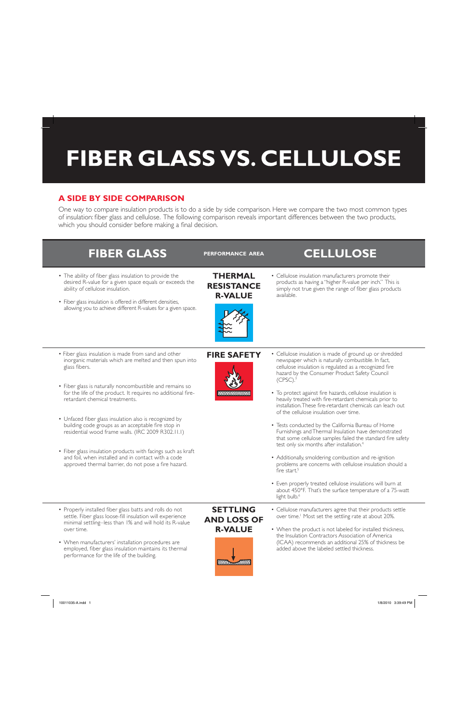## FIBER GLASS VS. CELLULOSE

## **A SIDE BY SIDE COMPARISON**

One way to compare insulation products is to do a side by side comparison. Here we compare the two most common types of insulation: fiber glass and cellulose. The following comparison reveals important differences between the two products, which you should consider before making a final decision.



• When manufacturers' installation procedures are employed, fiber glass insulation maintains its thermal performance for the life of the building.

# **R-VALUE**



• When the product is not labeled for installed thickness, the Insulation Contractors Association of America (ICAA) recommends an additional 25% of thickness be added above the labeled settled thickness.